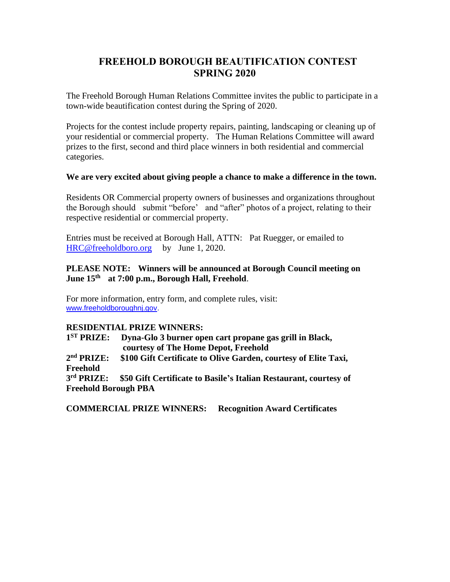## **FREEHOLD BOROUGH BEAUTIFICATION CONTEST SPRING 2020**

The Freehold Borough Human Relations Committee invites the public to participate in a town-wide beautification contest during the Spring of 2020.

Projects for the contest include property repairs, painting, landscaping or cleaning up of your residential or commercial property. The Human Relations Committee will award prizes to the first, second and third place winners in both residential and commercial categories.

#### **We are very excited about giving people a chance to make a difference in the town.**

Residents OR Commercial property owners of businesses and organizations throughout the Borough should submit "before' and "after" photos of a project, relating to their respective residential or commercial property.

Entries must be received at Borough Hall, ATTN: Pat Ruegger, or emailed to [HRC@freeholdboro.org](mailto:HRC@freeholdboro.org) by June 1, 2020.

#### **PLEASE NOTE: Winners will be announced at Borough Council meeting on June 15th at 7:00 p.m., Borough Hall, Freehold**.

For more information, entry form, and complete rules, visit: [www.freeholdboroughnj.gov.](http://www.freeholdboroughnj.gov/)

#### **RESIDENTIAL PRIZE WINNERS:**

 $1<sup>ST</sup> PRIZE:$ **Dyna-Glo 3 burner open cart propane gas grill in Black, courtesy of The Home Depot, Freehold**

2<sup>nd</sup> PRIZE: \$100 Gift Certificate to Olive Garden, courtesy of Elite Taxi, **Freehold**

3<sup>rd</sup> PRIZE: \$50 Gift Certificate to Basile's Italian Restaurant, courtesy of **Freehold Borough PBA** 

**COMMERCIAL PRIZE WINNERS: Recognition Award Certificates**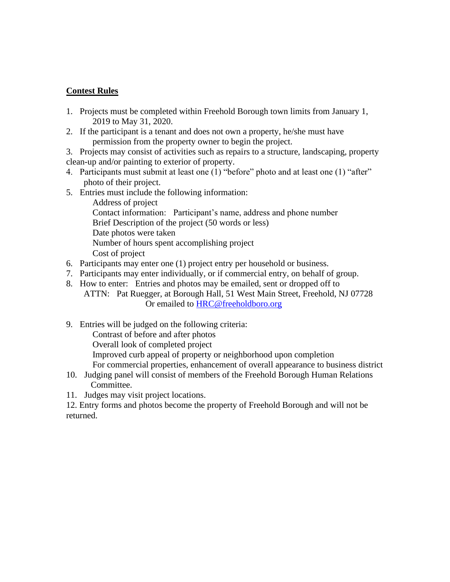### **Contest Rules**

- 1. Projects must be completed within Freehold Borough town limits from January 1, 2019 to May 31, 2020.
- 2. If the participant is a tenant and does not own a property, he/she must have permission from the property owner to begin the project.
- 3. Projects may consist of activities such as repairs to a structure, landscaping, property clean-up and/or painting to exterior of property.
- 4. Participants must submit at least one (1) "before" photo and at least one (1) "after" photo of their project.
- 5. Entries must include the following information:
	- Address of project Contact information: Participant's name, address and phone number Brief Description of the project (50 words or less) Date photos were taken Number of hours spent accomplishing project Cost of project
- 6. Participants may enter one (1) project entry per household or business.
- 7. Participants may enter individually, or if commercial entry, on behalf of group.
- 8. How to enter: Entries and photos may be emailed, sent or dropped off to ATTN: Pat Ruegger, at Borough Hall, 51 West Main Street, Freehold, NJ 07728 Or emailed to [HRC@freeholdboro.org](mailto:HRC@freeholdboro.org)
- 9. Entries will be judged on the following criteria:

Contrast of before and after photos

Overall look of completed project

Improved curb appeal of property or neighborhood upon completion

For commercial properties, enhancement of overall appearance to business district

- 10. Judging panel will consist of members of the Freehold Borough Human Relations Committee.
- 11. Judges may visit project locations.

12. Entry forms and photos become the property of Freehold Borough and will not be returned.